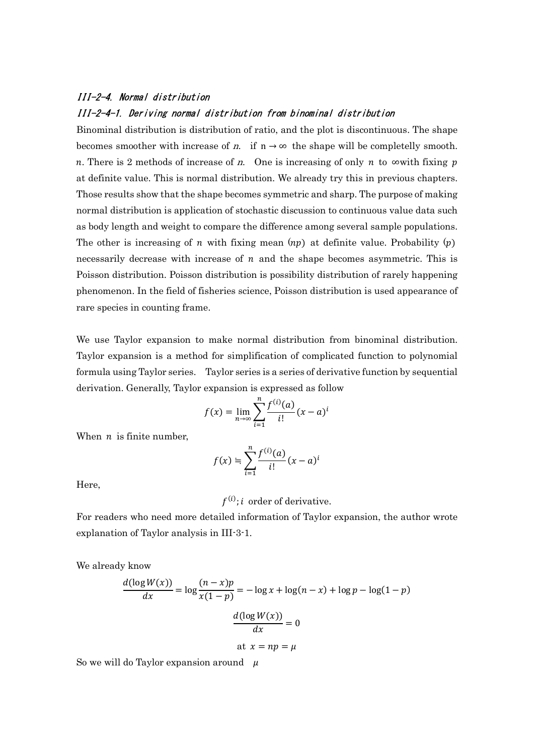## III-2-4. Normal distribution III-2-4-1. Deriving normal distribution from binominal distribution

Binominal distribution is distribution of ratio, and the plot is discontinuous. The shape becomes smoother with increase of n. if  $n \to \infty$  the shape will be completelly smooth. n. There is 2 methods of increase of n. One is increasing of only n to  $\infty$  with fixing p at definite value. This is normal distribution. We already try this in previous chapters. Those results show that the shape becomes symmetric and sharp. The purpose of making normal distribution is application of stochastic discussion to continuous value data such as body length and weight to compare the difference among several sample populations. The other is increasing of *n* with fixing mean  $(np)$  at definite value. Probability  $(p)$ necessarily decrease with increase of  $n$  and the shape becomes asymmetric. This is Poisson distribution. Poisson distribution is possibility distribution of rarely happening phenomenon. In the field of fisheries science, Poisson distribution is used appearance of rare species in counting frame.

We use Taylor expansion to make normal distribution from binominal distribution. Taylor expansion is a method for simplification of complicated function to polynomial formula using Taylor series. Taylor series is a series of derivative function by sequential derivation. Generally, Taylor expansion is expressed as follow

$$
f(x) = \lim_{n \to \infty} \sum_{i=1}^{n} \frac{f^{(i)}(a)}{i!} (x - a)^i
$$

When  $n$  is finite number,

$$
f(x) = \sum_{i=1}^{n} \frac{f^{(i)}(a)}{i!} (x - a)^i
$$

Here,

 $f^{(i)}$ ; *i* order of derivative.

For readers who need more detailed information of Taylor expansion, the author wrote explanation of Taylor analysis in III-3-1.

We already know

$$
\frac{d(\log W(x))}{dx} = \log \frac{(n-x)p}{x(1-p)} = -\log x + \log(n-x) + \log p - \log(1-p)
$$

$$
\frac{d(\log W(x))}{dx} = 0
$$
at  $x = np = \mu$ 

So we will do Taylor expansion around  $\mu$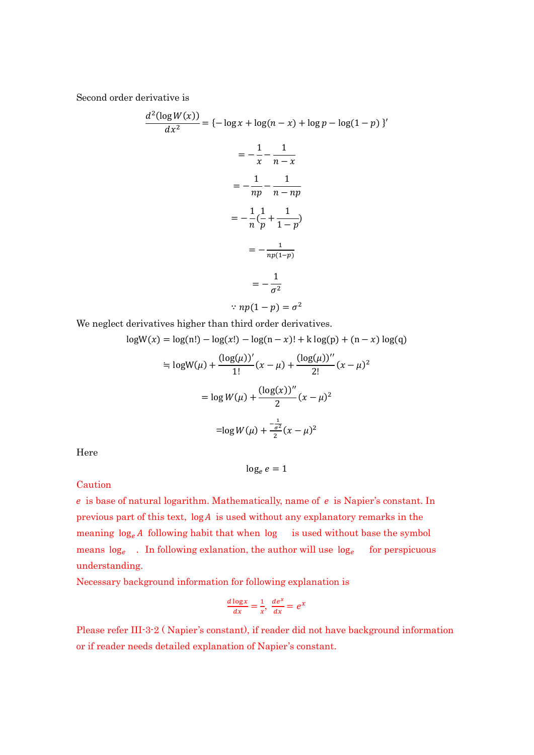Second order derivative is

$$
\frac{d^2(\log W(x))}{dx^2} = \{-\log x + \log(n - x) + \log p - \log(1 - p)\}'
$$

$$
= -\frac{1}{x} - \frac{1}{n - x}
$$

$$
= -\frac{1}{np} - \frac{1}{n - np}
$$

$$
= -\frac{1}{n}(\frac{1}{p} + \frac{1}{1 - p})
$$

$$
= -\frac{1}{np(1 - p)}
$$

$$
= -\frac{1}{\sigma^2}
$$

$$
\therefore np(1 - p) = \sigma^2
$$

We neglect derivatives higher than third order derivatives.

$$
logW(x) = log(n!) - log(x!) - log(n - x)! + k log(p) + (n - x) log(q)
$$
  
\n
$$
\approx logW(\mu) + \frac{(log(\mu))'}{1!} (x - \mu) + \frac{(log(\mu))''}{2!} (x - \mu)^2
$$
  
\n
$$
= log W(\mu) + \frac{(log(x))''}{2} (x - \mu)^2
$$
  
\n
$$
= log W(\mu) + \frac{-\frac{1}{\sigma^2}}{2} (x - \mu)^2
$$

Here

$$
\log_e e = 1
$$

**Caution** 

 $e$  is base of natural logarithm. Mathematically, name of  $e$  is Napier's constant. In previous part of this text,  $log A$  is used without any explanatory remarks in the meaning  $log_e A$  following habit that when  $log$  is used without base the symbol means  $log_e$ . In following exlanation, the author will use  $log_e$  for perspicuous understanding.

Necessary background information for following explanation is

$$
\frac{d \log x}{dx} = \frac{1}{x}, \ \frac{de^x}{dx} = e^x
$$

Please refer III-3-2 ( Napier's constant), if reader did not have background information or if reader needs detailed explanation of Napier's constant.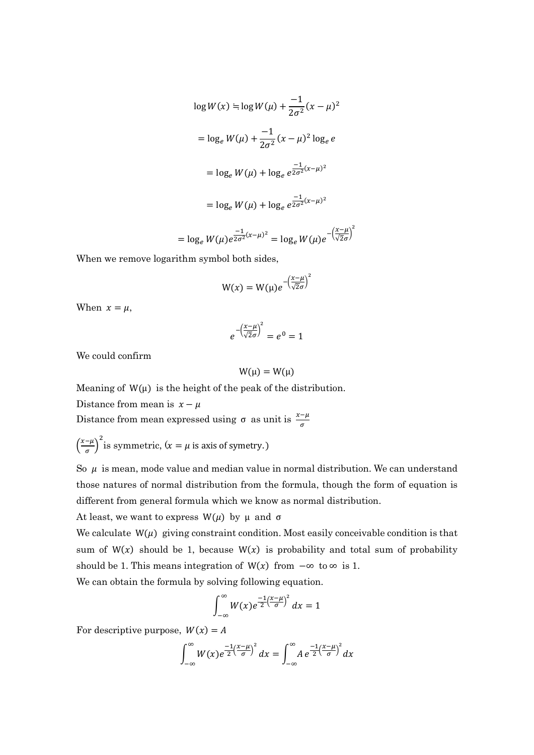$$
\log W(x) = \log W(\mu) + \frac{-1}{2\sigma^2} (x - \mu)^2
$$
  
=  $\log_e W(\mu) + \frac{-1}{2\sigma^2} (x - \mu)^2 \log_e e$   
=  $\log_e W(\mu) + \log_e e^{\frac{-1}{2\sigma^2} (x - \mu)^2}$   
=  $\log_e W(\mu) + \log_e e^{\frac{-1}{2\sigma^2} (x - \mu)^2}$   
=  $\log_e W(\mu) e^{\frac{-1}{2\sigma^2} (x - \mu)^2} = \log_e W(\mu) e^{-\left(\frac{x - \mu}{\sqrt{2}\sigma}\right)^2}$ 

When we remove logarithm symbol both sides,

$$
W(x) = W(\mu)e^{-\left(\frac{x-\mu}{\sqrt{2}\sigma}\right)^2}
$$

When  $x = \mu$ ,

$$
e^{-\left(\frac{x-\mu}{\sqrt{2}\sigma}\right)^2} = e^0 = 1
$$

We could confirm

$$
W(\mu) = W(\mu)
$$

Meaning of  $W(\mu)$  is the height of the peak of the distribution.

Distance from mean is  $x - \mu$ 

Distance from mean expressed using  $\sigma$  as unit is  $\frac{x-\mu}{\sigma}$ 

 $\left(\frac{x-\mu}{\sigma}\right)$  $\left(\frac{-\mu}{\sigma}\right)^2$  is symmetric,  $(x = \mu \text{ is axis of symmetry.})$ 

So  $\mu$  is mean, mode value and median value in normal distribution. We can understand those natures of normal distribution from the formula, though the form of equation is different from general formula which we know as normal distribution.

At least, we want to express  $W(\mu)$  by  $\mu$  and  $\sigma$ 

We calculate  $W(\mu)$  giving constraint condition. Most easily conceivable condition is that sum of  $W(x)$  should be 1, because  $W(x)$  is probability and total sum of probability should be 1. This means integration of  $W(x)$  from  $-\infty$  to  $\infty$  is 1.

We can obtain the formula by solving following equation.

$$
\int_{-\infty}^{\infty} W(x)e^{\frac{-1}{2}(\frac{x-\mu}{\sigma})^2} dx = 1
$$

For descriptive purpose,  $W(x) = A$ 

$$
\int_{-\infty}^{\infty} W(x)e^{\frac{-1}{2}\left(\frac{x-\mu}{\sigma}\right)^2} dx = \int_{-\infty}^{\infty} A e^{\frac{-1}{2}\left(\frac{x-\mu}{\sigma}\right)^2} dx
$$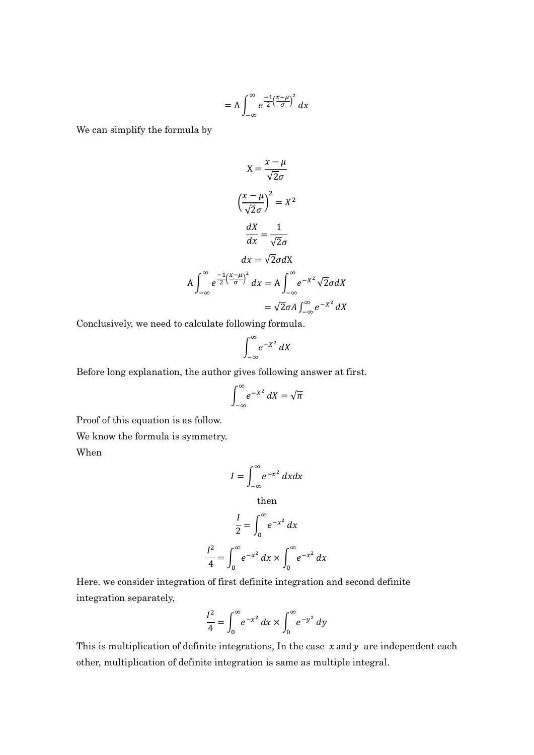$$
= A \int_{-\infty}^{\infty} e^{\frac{-1}{2} \left(\frac{x-\mu}{\sigma}\right)^2} dx
$$

We can simplify the formula by

$$
X = \frac{x - \mu}{\sqrt{2}\sigma}
$$
  

$$
\left(\frac{x - \mu}{\sqrt{2}\sigma}\right)^2 = X^2
$$
  

$$
\frac{dX}{dx} = \frac{1}{\sqrt{2}\sigma}
$$
  

$$
dx = \sqrt{2}\sigma dX
$$
  

$$
A \int_{-\infty}^{\infty} e^{-\frac{1}{2}\left(\frac{x - \mu}{\sigma}\right)^2} dx = A \int_{-\infty}^{\infty} e^{-X^2} \sqrt{2}\sigma dX
$$
  

$$
= \sqrt{2}\sigma A \int_{-\infty}^{\infty} e^{-X^2} dX
$$

Conclusively, we need to calculate following formula.

$$
\int_{-\infty}^{\infty} e^{-X^2} \, dX
$$

Before long explanation, the author gives following answer at first.

$$
\int_{-\infty}^{\infty} e^{-X^2} \, dX = \sqrt{\pi}
$$

Proof of this equation is as follow.

We know the formula is symmetry.

When

$$
I = \int_{-\infty}^{\infty} e^{-x^2} dx dx
$$
 then

$$
\frac{I}{2} = \int_0^\infty e^{-x^2} dx
$$

$$
\frac{I^2}{4} = \int_0^\infty e^{-x^2} dx \times \int_0^\infty e^{-x^2} dx
$$

Here. we consider integration of first definite integration and second definite integration separately,

$$
\frac{I^2}{4} = \int_0^\infty e^{-x^2} dx \times \int_0^\infty e^{-y^2} dy
$$

This is multiplication of definite integrations, In the case  $x$  and  $y$  are independent each other, multiplication of definite integration is same as multiple integral.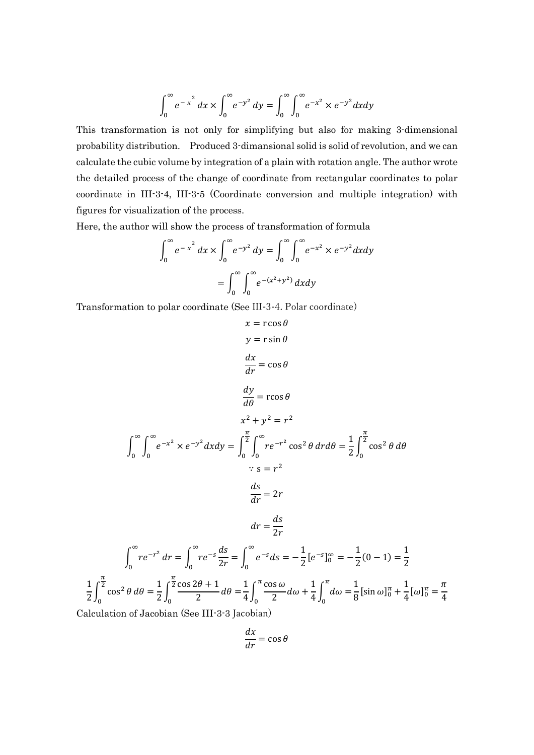$$
\int_0^{\infty} e^{-x^2} dx \times \int_0^{\infty} e^{-y^2} dy = \int_0^{\infty} \int_0^{\infty} e^{-x^2} \times e^{-y^2} dx dy
$$

This transformation is not only for simplifying but also for making 3-dimensional probability distribution. Produced 3-dimansional solid is solid of revolution, and we can calculate the cubic volume by integration of a plain with rotation angle. The author wrote the detailed process of the change of coordinate from rectangular coordinates to polar coordinate in III-3-4, III-3-5 (Coordinate conversion and multiple integration) with figures for visualization of the process.

Here, the author will show the process of transformation of formula

$$
\int_0^{\infty} e^{-x^2} dx \times \int_0^{\infty} e^{-y^2} dy = \int_0^{\infty} \int_0^{\infty} e^{-x^2} \times e^{-y^2} dx dy
$$

$$
= \int_0^{\infty} \int_0^{\infty} e^{-(x^2 + y^2)} dx dy
$$

Transformation to polar coordinate (See III-3-4. Polar coordinate)

$$
x = r \cos \theta
$$
  
\n
$$
y = r \sin \theta
$$
  
\n
$$
\frac{dx}{dr} = \cos \theta
$$
  
\n
$$
\frac{dy}{d\theta} = r \cos \theta
$$
  
\n
$$
x^2 + y^2 = r^2
$$
  
\n
$$
\int_0^\infty \int_0^\infty e^{-x^2} \times e^{-y^2} dx dy = \int_0^{\frac{\pi}{2}} \int_0^\infty re^{-r^2} \cos^2 \theta \, dr d\theta = \frac{1}{2} \int_0^{\frac{\pi}{2}} \cos^2 \theta \, d\theta
$$
  
\n
$$
\therefore s = r^2
$$
  
\n
$$
\frac{ds}{dr} = 2r
$$
  
\n
$$
dr = \frac{ds}{2r}
$$
  
\n
$$
\int_0^\infty re^{-r^2} dr = \int_0^\infty re^{-s} \frac{ds}{2r} = \int_0^\infty e^{-s} ds = -\frac{1}{2} [e^{-s}]_0^\infty = -\frac{1}{2} (0 - 1) = \frac{1}{2}
$$
  
\n
$$
\frac{1}{2} \int_0^{\frac{\pi}{2}} \cos^2 \theta \, d\theta = \frac{1}{2} \int_0^{\frac{\pi}{2}} \frac{\cos 2\theta + 1}{2} d\theta = \frac{1}{4} \int_0^{\pi} \frac{\cos \omega}{2} d\omega + \frac{1}{4} \int_0^{\pi} d\omega = \frac{1}{8} [\sin \omega]_0^{\pi} + \frac{1}{4} [\omega]_0^{\pi} = \frac{\pi}{4}
$$

Calculation of Jacobian (See III-3-3 Jacobian)

$$
\frac{dx}{dr} = \cos\theta
$$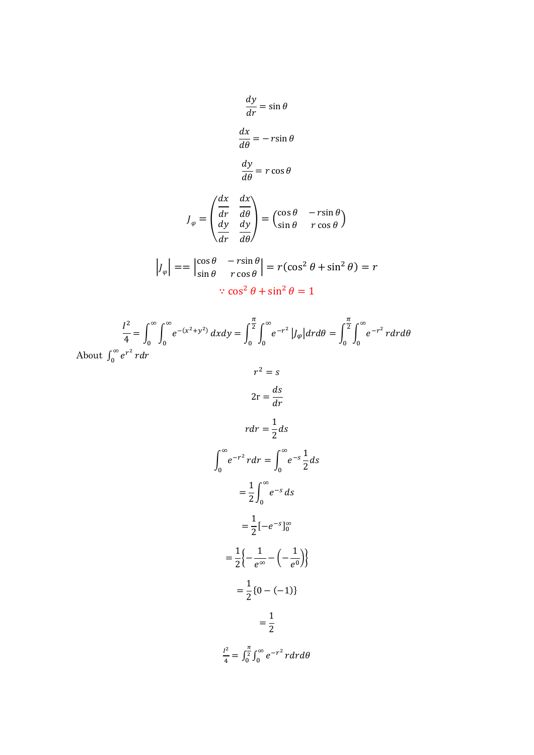$$
\frac{dy}{dr} = \sin \theta
$$

$$
\frac{dx}{d\theta} = -r \sin \theta
$$

$$
\frac{dy}{d\theta} = r \cos \theta
$$

$$
J_{\varphi} = \begin{pmatrix} \frac{dx}{dr} & \frac{dx}{d\theta} \\ \frac{dy}{dr} & \frac{dy}{d\theta} \end{pmatrix} = \begin{pmatrix} \cos \theta & -r \sin \theta \\ \sin \theta & r \cos \theta \end{pmatrix}
$$

$$
\left|J_{\varphi}\right| = \left|\frac{\cos\theta}{\sin\theta} - \frac{r\sin\theta}{r\cos\theta}\right| = r(\cos^2\theta + \sin^2\theta) = r
$$

$$
\therefore \cos^2\theta + \sin^2\theta = 1
$$

$$
\frac{I^2}{4} = \int_0^\infty \int_0^\infty e^{-(x^2 + y^2)} dx dy = \int_0^{\frac{\pi}{2}} \int_0^\infty e^{-r^2} |J_\varphi| dr d\theta = \int_0^{\frac{\pi}{2}} \int_0^\infty e^{-r^2} r dr d\theta
$$
  
About  $\int_0^\infty e^{r^2} r dr$ 

$$
r^2 = s
$$
  
\n
$$
2r = \frac{ds}{dr}
$$
  
\n
$$
rdr = \frac{1}{2}ds
$$
  
\n
$$
\int_0^\infty e^{-r^2} r dr = \int_0^\infty e^{-s} \frac{1}{2} ds
$$
  
\n
$$
= \frac{1}{2} \int_0^\infty e^{-s} ds
$$
  
\n
$$
= \frac{1}{2} [-e^{-s}]_0^\infty
$$
  
\n
$$
= \frac{1}{2} \{ -\frac{1}{e^{\infty}} - \left(-\frac{1}{e^{\infty}}\right) \}
$$
  
\n
$$
= \frac{1}{2} \{ 0 - (-1) \}
$$
  
\n
$$
= \frac{1}{2}
$$
  
\n
$$
\frac{l^2}{4} = \int_0^{\frac{\pi}{2}} \int_0^\infty e^{-r^2} r dr d\theta
$$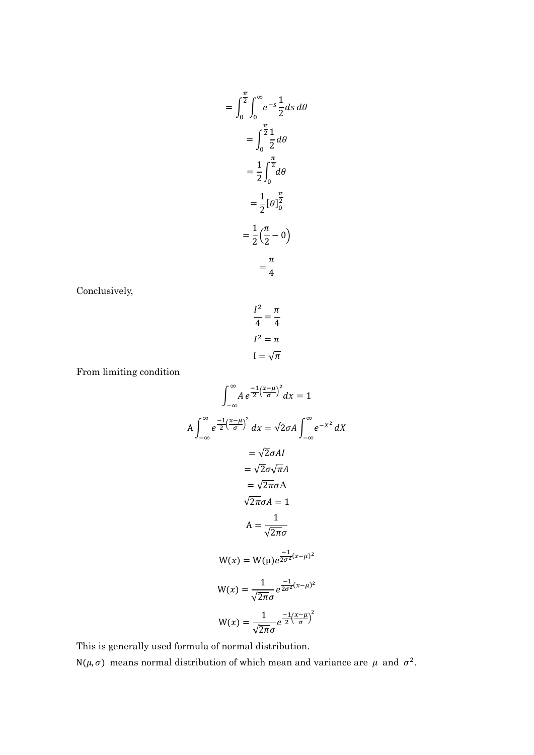$$
= \int_0^{\frac{\pi}{2}} \int_0^{\infty} e^{-s} \frac{1}{2} ds d\theta
$$

$$
= \int_0^{\frac{\pi}{2}} \frac{1}{2} d\theta
$$

$$
= \frac{1}{2} \int_0^{\frac{\pi}{2}} d\theta
$$

$$
= \frac{1}{2} [\theta]_0^{\frac{\pi}{2}}
$$

$$
= \frac{1}{2} (\frac{\pi}{2} - 0)
$$

$$
= \frac{\pi}{4}
$$

Conclusively,

$$
\frac{I^2}{4} = \frac{\pi}{4}
$$

$$
I^2 = \pi
$$

$$
I = \sqrt{\pi}
$$

From limiting condition

$$
\int_{-\infty}^{\infty} A e^{\frac{-1}{2} (\frac{x-\mu}{\sigma})^2} dx = 1
$$
  
\n
$$
A \int_{-\infty}^{\infty} e^{\frac{-1}{2} (\frac{x-\mu}{\sigma})^2} dx = \sqrt{2} \sigma A \int_{-\infty}^{\infty} e^{-X^2} dX
$$
  
\n
$$
= \sqrt{2} \sigma A I
$$
  
\n
$$
= \sqrt{2} \sigma \sqrt{\pi} A
$$
  
\n
$$
= \sqrt{2} \pi \sigma A
$$
  
\n
$$
\sqrt{2} \pi \sigma A = 1
$$
  
\n
$$
A = \frac{1}{\sqrt{2} \pi \sigma}
$$
  
\n
$$
W(x) = W(\mu) e^{\frac{-1}{2\sigma^2} (x-\mu)^2}
$$
  
\n
$$
W(x) = \frac{1}{\sqrt{2} \pi \sigma} e^{\frac{-1}{2\sigma^2} (x-\mu)^2}
$$
  
\n
$$
W(x) = \frac{1}{\sqrt{2} \pi \sigma} e^{\frac{-1}{2} (\frac{x-\mu}{\sigma})^2}
$$

This is generally used formula of normal distribution.

N( $\mu$ ,  $\sigma$ ) means normal distribution of which mean and variance are  $\mu$  and  $\sigma^2$ .